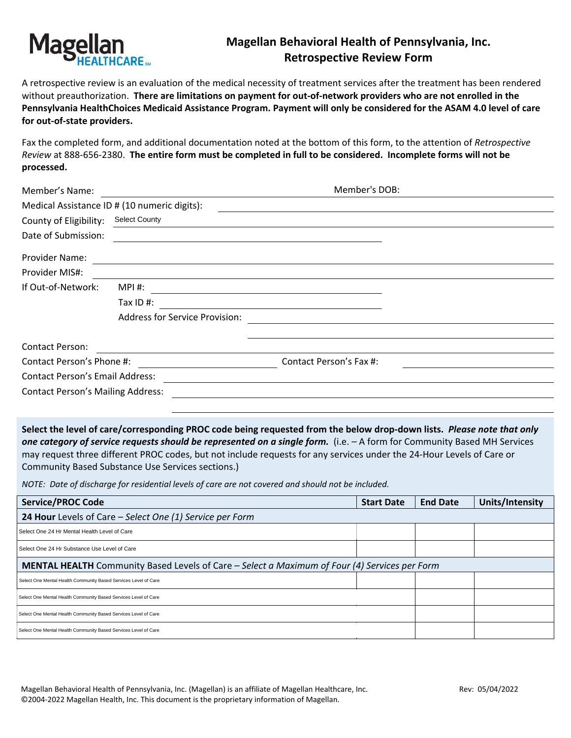

## **Magellan Behavioral Health of Pennsylvania, Inc. Retrospective Review Form**

A retrospective review is an evaluation of the medical necessity of treatment services after the treatment has been rendered without preauthorization. **There are limitations on payment for out-of-network providers who are not enrolled in the Pennsylvania HealthChoices Medicaid Assistance Program. Payment will only be considered for the ASAM 4.0 level of care for out-of-state providers.** 

Fax the completed form, and additional documentation noted at the bottom of this form, to the attention of *Retrospective Review* at 888-656-2380. **The entire form must be completed in full to be considered. Incomplete forms will not be processed.**

| Member's Name:                           |                                                                                                                       | Member's DOB:                                 |                                                                                                                                                                                                                                                                |
|------------------------------------------|-----------------------------------------------------------------------------------------------------------------------|-----------------------------------------------|----------------------------------------------------------------------------------------------------------------------------------------------------------------------------------------------------------------------------------------------------------------|
|                                          | Medical Assistance ID # (10 numeric digits):                                                                          |                                               |                                                                                                                                                                                                                                                                |
| County of Eligibility:                   | <b>Select County</b>                                                                                                  |                                               |                                                                                                                                                                                                                                                                |
| Date of Submission:                      | <u> 1989 - Johann Stoff, deutscher Stoff, der Stoff, der Stoff, der Stoff, der Stoff, der Stoff, der Stoff, der S</u> |                                               |                                                                                                                                                                                                                                                                |
| Provider Name:                           |                                                                                                                       |                                               |                                                                                                                                                                                                                                                                |
| Provider MIS#:                           |                                                                                                                       |                                               |                                                                                                                                                                                                                                                                |
| If Out-of-Network:                       | MPI #:                                                                                                                |                                               |                                                                                                                                                                                                                                                                |
|                                          | Tax ID #:                                                                                                             | <u> 1989 - Andrea Andrew Maria (h. 1989).</u> |                                                                                                                                                                                                                                                                |
|                                          | <b>Address for Service Provision:</b>                                                                                 |                                               |                                                                                                                                                                                                                                                                |
|                                          |                                                                                                                       |                                               |                                                                                                                                                                                                                                                                |
| <b>Contact Person:</b>                   |                                                                                                                       |                                               |                                                                                                                                                                                                                                                                |
| Contact Person's Phone #:                |                                                                                                                       | Contact Person's Fax #:                       |                                                                                                                                                                                                                                                                |
| <b>Contact Person's Email Address:</b>   |                                                                                                                       |                                               |                                                                                                                                                                                                                                                                |
| <b>Contact Person's Mailing Address:</b> |                                                                                                                       |                                               |                                                                                                                                                                                                                                                                |
|                                          |                                                                                                                       |                                               |                                                                                                                                                                                                                                                                |
|                                          |                                                                                                                       |                                               | Select the level of care/corresponding PROC code being requested from the below drop-down lists. Please note that only<br>one category of service requests should be represented on a single form $\int$ i.e. $\sim$ 6.45 form for Community Rased MH Services |

one category of service requests should be represented on a single form. (i.e. - A form for Community Based MH Services may request three different PROC codes, but not include requests for any services under the 24-Hour Levels of Care or Community Based Substance Use Services sections.)

*NOTE: Date of discharge for residential levels of care are not covered and should not be included.*

| <b>Service/PROC Code</b>                                                                      | <b>Start Date</b> | <b>End Date</b> | Units/Intensity |  |  |  |  |
|-----------------------------------------------------------------------------------------------|-------------------|-----------------|-----------------|--|--|--|--|
| 24 Hour Levels of Care - Select One (1) Service per Form                                      |                   |                 |                 |  |  |  |  |
| Select One 24 Hr Mental Health Level of Care                                                  |                   |                 |                 |  |  |  |  |
| Select One 24 Hr Substance Use Level of Care                                                  |                   |                 |                 |  |  |  |  |
| MENTAL HEALTH Community Based Levels of Care - Select a Maximum of Four (4) Services per Form |                   |                 |                 |  |  |  |  |
| Select One Mental Health Community Based Services Level of Care                               |                   |                 |                 |  |  |  |  |
| Select One Mental Health Community Based Services Level of Care                               |                   |                 |                 |  |  |  |  |
| Select One Mental Health Community Based Services Level of Care                               |                   |                 |                 |  |  |  |  |
| Select One Mental Health Community Based Services Level of Care                               |                   |                 |                 |  |  |  |  |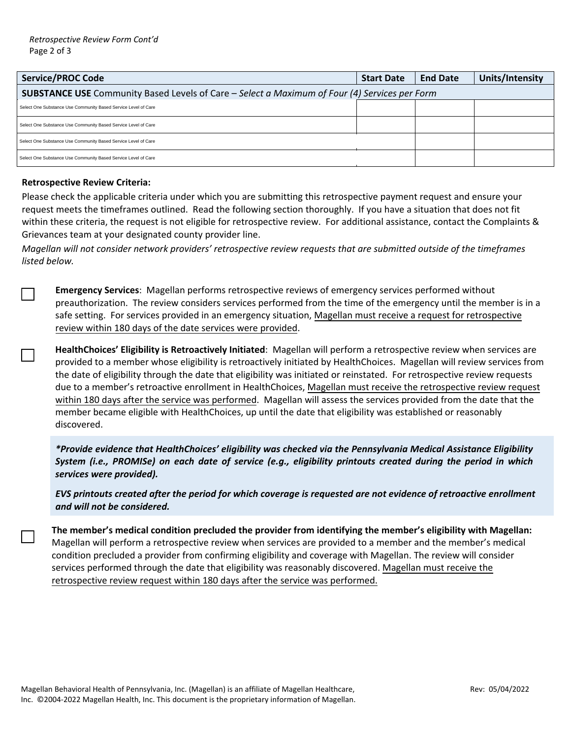| <b>Service/PROC Code</b>                                                                             |  | <b>End Date</b> | Units/Intensity |  |  |  |
|------------------------------------------------------------------------------------------------------|--|-----------------|-----------------|--|--|--|
| <b>SUBSTANCE USE</b> Community Based Levels of Care – Select a Maximum of Four (4) Services per Form |  |                 |                 |  |  |  |
| Select One Substance Use Community Based Service Level of Care                                       |  |                 |                 |  |  |  |
| Select One Substance Use Community Based Service Level of Care                                       |  |                 |                 |  |  |  |
| Select One Substance Use Community Based Service Level of Care                                       |  |                 |                 |  |  |  |
| Select One Substance Use Community Based Service Level of Care                                       |  |                 |                 |  |  |  |

## **Retrospective Review Criteria:**

Please check the applicable criteria under which you are submitting this retrospective payment request and ensure your request meets the timeframes outlined. Read the following section thoroughly. If you have a situation that does not fit within these criteria, the request is not eligible for retrospective review. For additional assistance, contact the Complaints & Grievances team at your designated county provider line.

*Magellan will not consider network providers' retrospective review requests that are submitted outside of the timeframes listed below.* 

**Emergency Services**: Magellan performs retrospective reviews of emergency services performed without preauthorization. The review considers services performed from the time of the emergency until the member is in a safe setting. For services provided in an emergency situation, Magellan must receive a request for retrospective review within 180 days of the date services were provided.

**HealthChoices' Eligibility is Retroactively Initiated**: Magellan will perform a retrospective review when services are provided to a member whose eligibility is retroactively initiated by HealthChoices. Magellan will review services from the date of eligibility through the date that eligibility was initiated or reinstated. For retrospective review requests due to a member's retroactive enrollment in HealthChoices, Magellan must receive the retrospective review request within 180 days after the service was performed. Magellan will assess the services provided from the date that the member became eligible with HealthChoices, up until the date that eligibility was established or reasonably discovered.

*\*Provide evidence that HealthChoices' eligibility was checked via the Pennsylvania Medical Assistance Eligibility System (i.e., PROMISe) on each date of service (e.g., eligibility printouts created during the period in which services were provided).*

*EVS printouts created after the period for which coverage is requested are not evidence of retroactive enrollment and will not be considered.*

**The member's medical condition precluded the provider from identifying the member's eligibility with Magellan:**  Magellan will perform a retrospective review when services are provided to a member and the member's medical condition precluded a provider from confirming eligibility and coverage with Magellan. The review will consider services performed through the date that eligibility was reasonably discovered. Magellan must receive the retrospective review request within 180 days after the service was performed.